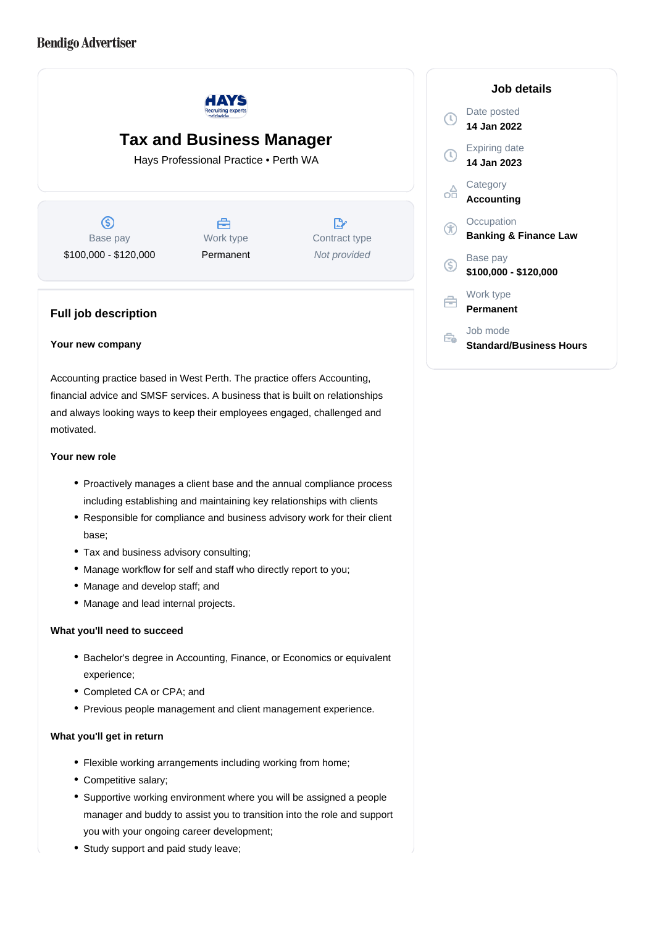# **Bendigo Advertiser**



# **Tax and Business Manager**

Hays Professional Practice • Perth WA

 $\circledS$ Base pay \$100,000 - \$120,000

A Work type Permanent

 $\mathbb{R}^n$ Contract type Not provided

# **Full job description**

## **Your new company**

Accounting practice based in West Perth. The practice offers Accounting, financial advice and SMSF services. A business that is built on relationships and always looking ways to keep their employees engaged, challenged and motivated.

#### **Your new role**

- Proactively manages a client base and the annual compliance process including establishing and maintaining key relationships with clients
- Responsible for compliance and business advisory work for their client base;
- Tax and business advisory consulting;
- Manage workflow for self and staff who directly report to you;
- Manage and develop staff; and
- Manage and lead internal projects.

## **What you'll need to succeed**

- Bachelor's degree in Accounting, Finance, or Economics or equivalent experience;
- Completed CA or CPA; and
- Previous people management and client management experience.

#### **What you'll get in return**

- Flexible working arrangements including working from home;
- Competitive salary;
- Supportive working environment where you will be assigned a people manager and buddy to assist you to transition into the role and support you with your ongoing career development;
- Study support and paid study leave;

## **Job details** Date posted Œ **14 Jan 2022** Expiring date **14 Jan 2023 Category** oĦ **Accounting Occupation** Œ **Banking & Finance Law** Base pay <sub>(S)</sub> **\$100,000 - \$120,000** Work type 白 **Permanent** Job mode Ê. **Standard/Business Hours**